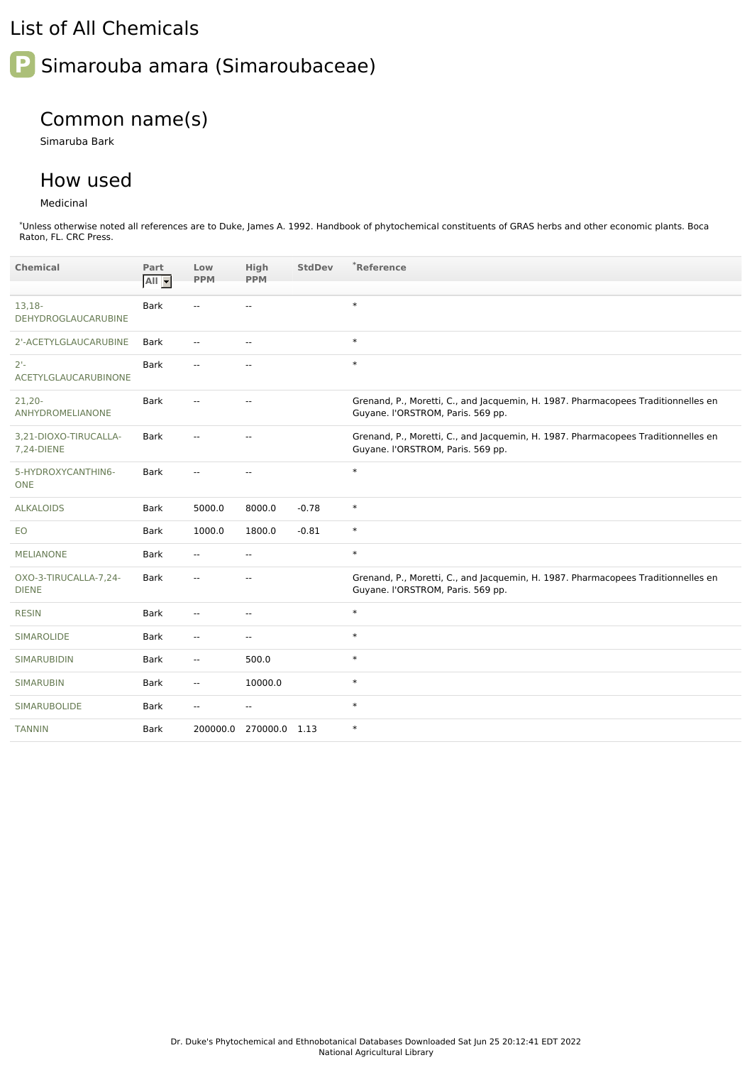## List of All Chemicals

# **P** Simarouba amara (Simaroubaceae)

# Common name(s)

Simaruba Bark

### How used

#### Medicinal

\*Unless otherwise noted all references are to Duke, James A. 1992. Handbook of phytochemical constituents of GRAS herbs and other economic plants. Boca Raton, FL. CRC Press.

| <b>Chemical</b>                       | Part<br>$All -$ | Low<br><b>PPM</b>        | High<br><b>PPM</b>       | <b>StdDev</b> | *Reference                                                                                                             |
|---------------------------------------|-----------------|--------------------------|--------------------------|---------------|------------------------------------------------------------------------------------------------------------------------|
| $13,18-$<br>DEHYDROGLAUCARUBINE       | <b>Bark</b>     | $\overline{a}$           | $\overline{\phantom{a}}$ |               | $\ast$                                                                                                                 |
| 2'-ACETYLGLAUCARUBINE                 | Bark            | $\overline{\phantom{a}}$ | $\overline{\phantom{a}}$ |               | $\ast$                                                                                                                 |
| $2 -$<br>ACETYLGLAUCARUBINONE         | <b>Bark</b>     | $\mathbf{u}$             | $\sim$                   |               | $\ast$                                                                                                                 |
| $21,20 -$<br>ANHYDROMELIANONE         | <b>Bark</b>     | --                       | $\overline{\phantom{a}}$ |               | Grenand, P., Moretti, C., and Jacquemin, H. 1987. Pharmacopees Traditionnelles en<br>Guyane. I'ORSTROM, Paris. 569 pp. |
| 3,21-DIOXO-TIRUCALLA-<br>7,24-DIENE   | <b>Bark</b>     |                          | $\overline{\phantom{a}}$ |               | Grenand, P., Moretti, C., and Jacquemin, H. 1987. Pharmacopees Traditionnelles en<br>Guyane. I'ORSTROM, Paris. 569 pp. |
| 5-HYDROXYCANTHIN6-<br><b>ONE</b>      | <b>Bark</b>     | --                       | $\overline{\phantom{a}}$ |               | $\ast$                                                                                                                 |
| <b>ALKALOIDS</b>                      | <b>Bark</b>     | 5000.0                   | 8000.0                   | $-0.78$       | $\ast$                                                                                                                 |
| EO                                    | <b>Bark</b>     | 1000.0                   | 1800.0                   | $-0.81$       | $\ast$                                                                                                                 |
| <b>MELIANONE</b>                      | <b>Bark</b>     | $\mathbf{u}$             | $\overline{a}$           |               | $\ast$                                                                                                                 |
| OXO-3-TIRUCALLA-7,24-<br><b>DIENE</b> | Bark            | $\mathbf{u}$             | $\overline{\phantom{a}}$ |               | Grenand, P., Moretti, C., and Jacquemin, H. 1987. Pharmacopees Traditionnelles en<br>Guyane. I'ORSTROM, Paris. 569 pp. |
| <b>RESIN</b>                          | <b>Bark</b>     | $\mathbf{u}$             | $\overline{a}$           |               | $\ast$                                                                                                                 |
| SIMAROLIDE                            | Bark            | $\overline{\phantom{a}}$ | $\overline{\phantom{a}}$ |               | $\ast$                                                                                                                 |
| SIMARUBIDIN                           | <b>Bark</b>     | $\overline{\phantom{a}}$ | 500.0                    |               | $\ast$                                                                                                                 |
| <b>SIMARUBIN</b>                      | Bark            | $\overline{\phantom{a}}$ | 10000.0                  |               | $\ast$                                                                                                                 |
| <b>SIMARUBOLIDE</b>                   | Bark            | --                       | $\overline{\phantom{a}}$ |               | $\ast$                                                                                                                 |
| <b>TANNIN</b>                         | <b>Bark</b>     | 200000.0                 | 270000.0 1.13            |               | $\ast$                                                                                                                 |